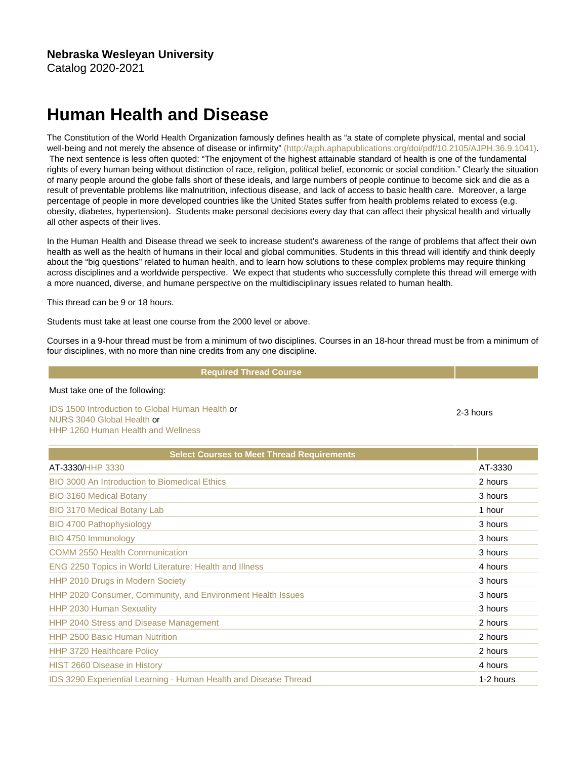## Human Health and Disease

The Constitution of the World Health Organization famously defines health as "a state of complete physical, mental and social well-being and not merely the absence of disease or infirmity" [\(http://ajph.aphapublications.org/doi/pdf/10.2105/AJPH.36.9.1041\).](http://ajph.aphapublications.org/doi/pdf/10.2105/AJPH.36.9.1041) The next sentence is less often quoted: "The enjoyment of the highest attainable standard of health is one of the fundamental rights of every human being without distinction of race, religion, political belief, economic or social condition." Clearly the situation of many people around the globe falls short of these ideals, and large numbers of people continue to become sick and die as a result of preventable problems like malnutrition, infectious disease, and lack of access to basic health care. Moreover, a large percentage of people in more developed countries like the United States suffer from health problems related to excess (e.g. obesity, diabetes, hypertension). Students make personal decisions every day that can affect their physical health and virtually all other aspects of their lives.

In the Human Health and Disease thread we seek to increase student's awareness of the range of problems that affect their own health as well as the health of humans in their local and global communities. Students in this thread will identify and think deeply about the "big questions" related to human health, and to learn how solutions to these complex problems may require thinking across disciplines and a worldwide perspective. We expect that students who successfully complete this thread will emerge with a more nuanced, diverse, and humane perspective on the multidisciplinary issues related to human health.

This thread can be 9 or 18 hours.

Students must take at least one course from the 2000 level or above.

Courses in a 9-hour thread must be from a minimum of two disciplines. Courses in an 18-hour thread must be from a minimum of four disciplines, with no more than nine credits from any one discipline.

2-3 hours

## Required Thread Course

## Must take one of the following:

[IDS 1500 Introduction to Global Human Health](https://catalog.nebrwesleyan.edu/cc/2021-2022/course/362903) or [NURS 3040 Global Health](https://catalog.nebrwesleyan.edu/cc/2021-2022/course/358041) or [HHP 1260 Human Health and Wellness](https://catalog.nebrwesleyan.edu/cc/2021-2022/course/362974)

| <b>Select Courses to Meet Thread Requirements</b>                |           |
|------------------------------------------------------------------|-----------|
| AT-3330/HHP 3330                                                 | AT-3330   |
| <b>BIO 3000 An Introduction to Biomedical Ethics</b>             | 2 hours   |
| <b>BIO 3160 Medical Botany</b>                                   | 3 hours   |
| <b>BIO 3170 Medical Botany Lab</b>                               | 1 hour    |
| <b>BIO 4700 Pathophysiology</b>                                  | 3 hours   |
| BIO 4750 Immunology                                              | 3 hours   |
| <b>COMM 2550 Health Communication</b>                            | 3 hours   |
| <b>ENG 2250 Topics in World Literature: Health and Illness</b>   | 4 hours   |
| HHP 2010 Drugs in Modern Society                                 | 3 hours   |
| HHP 2020 Consumer, Community, and Environment Health Issues      | 3 hours   |
| HHP 2030 Human Sexuality                                         | 3 hours   |
| HHP 2040 Stress and Disease Management                           | 2 hours   |
| <b>HHP 2500 Basic Human Nutrition</b>                            | 2 hours   |
| <b>HHP 3720 Healthcare Policy</b>                                | 2 hours   |
| <b>HIST 2660 Disease in History</b>                              | 4 hours   |
| IDS 3290 Experiential Learning - Human Health and Disease Thread | 1-2 hours |